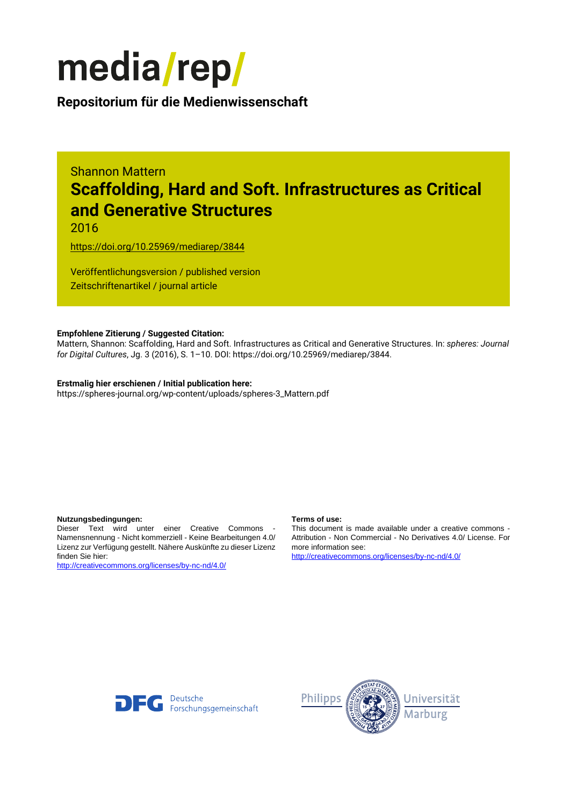

**Repositorium für die [Medienwissenschaft](https://mediarep.org)**

# Shannon Mattern **Scaffolding, Hard and Soft. Infrastructures as Critical and Generative Structures**

2016

<https://doi.org/10.25969/mediarep/3844>

Veröffentlichungsversion / published version Zeitschriftenartikel / journal article

### **Empfohlene Zitierung / Suggested Citation:**

Mattern, Shannon: Scaffolding, Hard and Soft. Infrastructures as Critical and Generative Structures. In: *spheres: Journal for Digital Cultures*, Jg. 3 (2016), S. 1–10. DOI: https://doi.org/10.25969/mediarep/3844.

# **Erstmalig hier erschienen / Initial publication here:**

https://spheres-journal.org/wp-content/uploads/spheres-3\_Mattern.pdf

#### **Nutzungsbedingungen: Terms of use:**

Dieser Text wird unter einer Creative Commons - Namensnennung - Nicht kommerziell - Keine Bearbeitungen 4.0/ Lizenz zur Verfügung gestellt. Nähere Auskünfte zu dieser Lizenz finden Sie hier:

<http://creativecommons.org/licenses/by-nc-nd/4.0/>

This document is made available under a creative commons - Attribution - Non Commercial - No Derivatives 4.0/ License. For more information see:

<http://creativecommons.org/licenses/by-nc-nd/4.0/>



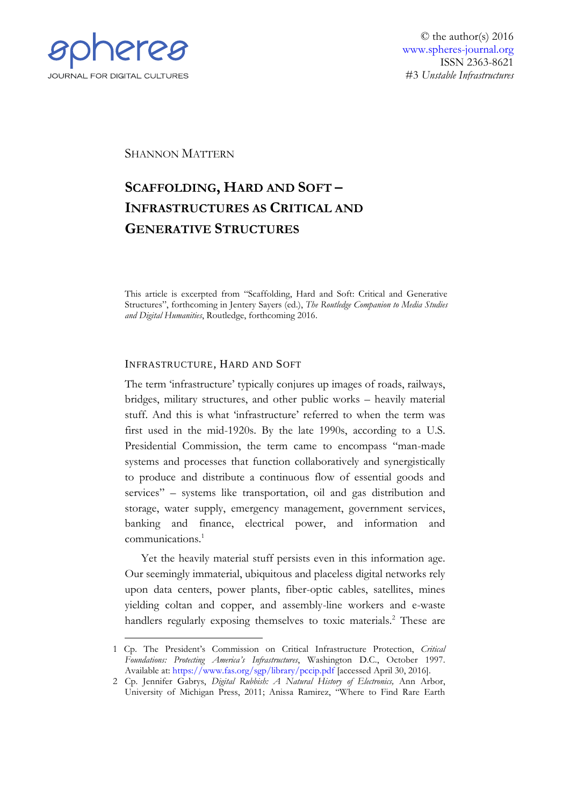

© the author(s) 2016 [www.spheres-journal.org](http://www.spheres-journal.org/) ISSN 2363-8621 #3 *Unstable Infrastructures*

SHANNON MATTERN

# **SCAFFOLDING, HARD AND SOFT – INFRASTRUCTURES AS CRITICAL AND GENERATIVE STRUCTURES**

This article is excerpted from "Scaffolding, Hard and Soft: Critical and Generative Structures", forthcoming in Jentery Sayers (ed.), *The Routledge Companion to Media Studies and Digital Humanities*, Routledge, forthcoming 2016.

# INFRASTRUCTURE, HARD AND SOFT

The term 'infrastructure' typically conjures up images of roads, railways, bridges, military structures, and other public works – heavily material stuff. And this is what 'infrastructure' referred to when the term was first used in the mid-1920s. By the late 1990s, according to a U.S. Presidential Commission, the term came to encompass "man-made systems and processes that function collaboratively and synergistically to produce and distribute a continuous flow of essential goods and services" – systems like transportation, oil and gas distribution and storage, water supply, emergency management, government services, banking and finance, electrical power, and information and communications.<sup>1</sup>

Yet the heavily material stuff persists even in this information age. Our seemingly immaterial, ubiquitous and placeless digital networks rely upon data centers, power plants, fiber-optic cables, satellites, mines yielding coltan and copper, and assembly-line workers and e-waste handlers regularly exposing themselves to toxic materials.<sup>2</sup> These are

<sup>1</sup> Cp. The President's Commission on Critical Infrastructure Protection, *Critical Foundations: Protecting America's Infrastructures*, Washington D.C., October 1997. Available at:<https://www.fas.org/sgp/library/pccip.pdf> [accessed April 30, 2016].

<sup>2</sup> Cp. Jennifer Gabrys, *Digital Rubbish: A Natural History of Electronics,* Ann Arbor, University of Michigan Press, 2011; Anissa Ramirez, "Where to Find Rare Earth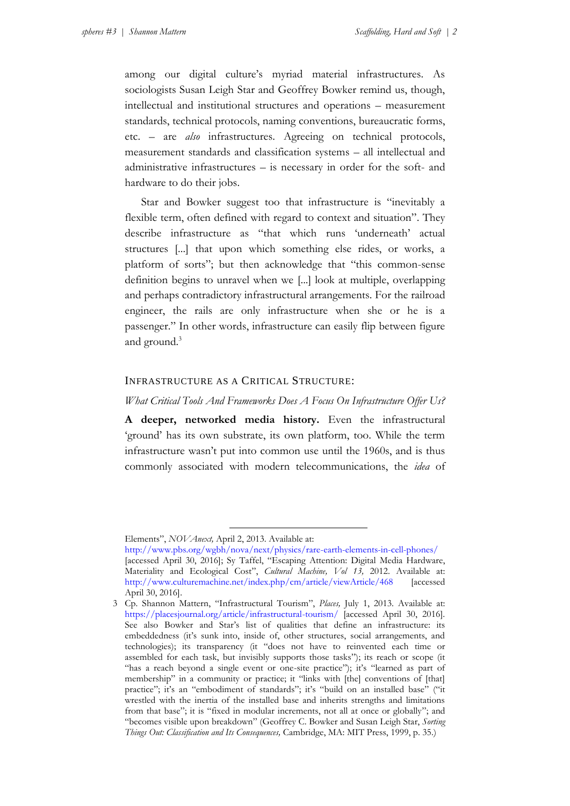among our digital culture's myriad material infrastructures. As sociologists Susan Leigh Star and Geoffrey Bowker remind us, though, intellectual and institutional structures and operations – measurement standards, technical protocols, naming conventions, bureaucratic forms, etc. – are *also* infrastructures. Agreeing on technical protocols, measurement standards and classification systems – all intellectual and administrative infrastructures – is necessary in order for the soft- and hardware to do their jobs.

Star and Bowker suggest too that infrastructure is "inevitably a flexible term, often defined with regard to context and situation". They describe infrastructure as "that which runs 'underneath' actual structures [...] that upon which something else rides, or works, a platform of sorts"; but then acknowledge that "this common-sense definition begins to unravel when we [...] look at multiple, overlapping and perhaps contradictory infrastructural arrangements. For the railroad engineer, the rails are only infrastructure when she or he is a passenger." In other words, infrastructure can easily flip between figure and ground.<sup>3</sup>

# INFRASTRUCTURE AS A CRITICAL STRUCTURE:

### *What Critical Tools And Frameworks Does A Focus On Infrastructure Offer Us?*

**A deeper, networked media history.** Even the infrastructural 'ground' has its own substrate, its own platform, too. While the term infrastructure wasn't put into common use until the 1960s, and is thus commonly associated with modern telecommunications, the *idea* of

-

Elements", *NOVAnext,* April 2, 2013. Available at:

<http://www.pbs.org/wgbh/nova/next/physics/rare-earth-elements-in-cell-phones/> [accessed April 30, 2016]; Sy Taffel, "Escaping Attention: Digital Media Hardware, Materiality and Ecological Cost", *Cultural Machine, Vol 13,* 2012. Available at: <http://www.culturemachine.net/index.php/cm/article/viewArticle/468> [accessed April 30, 2016].

<sup>3</sup> Cp. Shannon Mattern, "Infrastructural Tourism", *Places,* July 1, 2013. Available at: <https://placesjournal.org/article/infrastructural-tourism/> [accessed April 30, 2016]. See also Bowker and Star's list of qualities that define an infrastructure: its embeddedness (it's sunk into, inside of, other structures, social arrangements, and technologies); its transparency (it "does not have to reinvented each time or assembled for each task, but invisibly supports those tasks"); its reach or scope (it "has a reach beyond a single event or one-site practice"); it's "learned as part of membership" in a community or practice; it "links with [the] conventions of [that] practice"; it's an "embodiment of standards"; it's "build on an installed base" ("it wrestled with the inertia of the installed base and inherits strengths and limitations from that base"; it is "fixed in modular increments, not all at once or globally"; and "becomes visible upon breakdown" (Geoffrey C. Bowker and Susan Leigh Star, *Sorting Things Out: Classification and Its Consequences,* Cambridge, MA: MIT Press, 1999, p. 35.)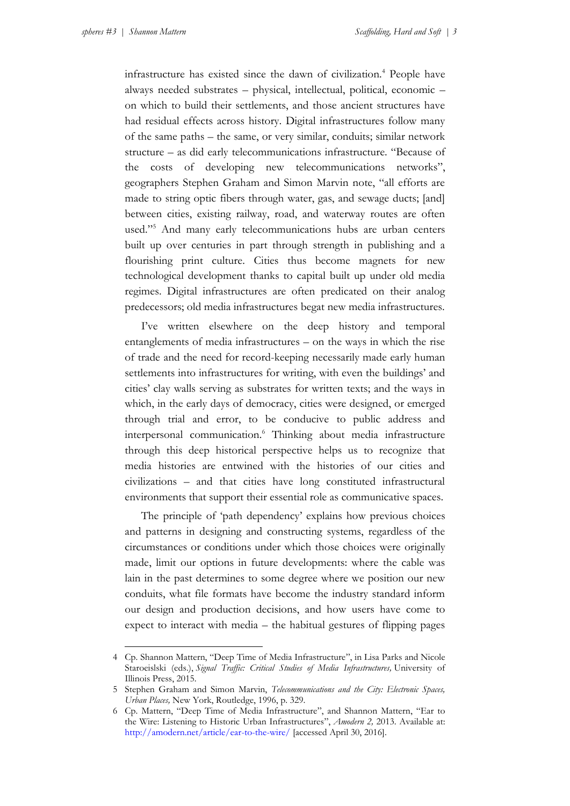1

infrastructure has existed since the dawn of civilization.<sup>4</sup> People have always needed substrates – physical, intellectual, political, economic – on which to build their settlements, and those ancient structures have had residual effects across history. Digital infrastructures follow many of the same paths – the same, or very similar, conduits; similar network structure – as did early telecommunications infrastructure. "Because of the costs of developing new telecommunications networks", geographers Stephen Graham and Simon Marvin note, "all efforts are made to string optic fibers through water, gas, and sewage ducts; [and] between cities, existing railway, road, and waterway routes are often used."<sup>5</sup> And many early telecommunications hubs are urban centers built up over centuries in part through strength in publishing and a flourishing print culture. Cities thus become magnets for new technological development thanks to capital built up under old media regimes. Digital infrastructures are often predicated on their analog predecessors; old media infrastructures begat new media infrastructures.

I've written elsewhere on the deep history and temporal entanglements of media infrastructures – on the ways in which the rise of trade and the need for record-keeping necessarily made early human settlements into infrastructures for writing, with even the buildings' and cities' clay walls serving as substrates for written texts; and the ways in which, in the early days of democracy, cities were designed, or emerged through trial and error, to be conducive to public address and interpersonal communication.<sup>6</sup> Thinking about media infrastructure through this deep historical perspective helps us to recognize that media histories are entwined with the histories of our cities and civilizations – and that cities have long constituted infrastructural environments that support their essential role as communicative spaces.

The principle of 'path dependency' explains how previous choices and patterns in designing and constructing systems, regardless of the circumstances or conditions under which those choices were originally made, limit our options in future developments: where the cable was lain in the past determines to some degree where we position our new conduits, what file formats have become the industry standard inform our design and production decisions, and how users have come to expect to interact with media – the habitual gestures of flipping pages

<sup>4</sup> Cp. Shannon Mattern, "Deep Time of Media Infrastructure", in Lisa Parks and Nicole Staroeislski (eds.), *Signal Traffic: Critical Studies of Media Infrastructures,* University of Illinois Press, 2015.

<sup>5</sup> Stephen Graham and Simon Marvin, *Telecommunications and the City: Electronic Spaces, Urban Places,* New York, Routledge, 1996, p. 329.

<sup>6</sup> Cp. Mattern, "Deep Time of Media Infrastructure", and Shannon Mattern, "Ear to the Wire: Listening to Historic Urban Infrastructures", *Amodern 2,* 2013. Available at: <http://amodern.net/article/ear-to-the-wire/> [accessed April 30, 2016].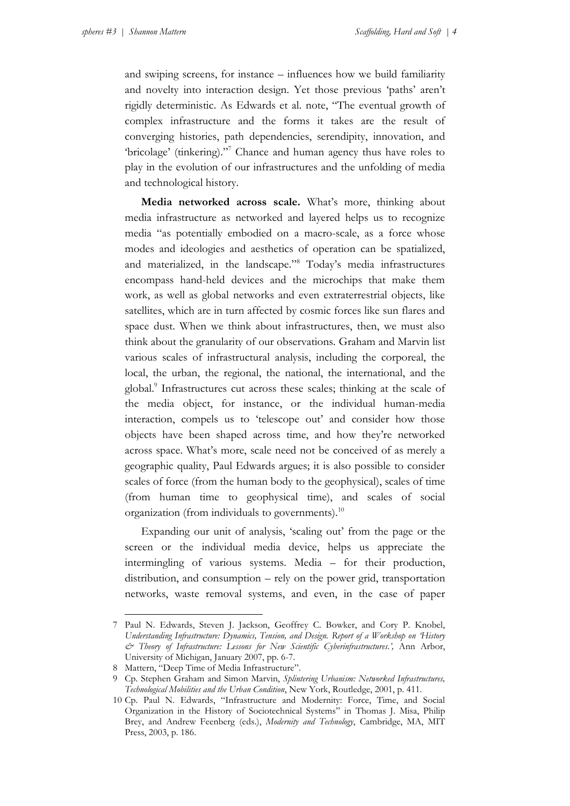and swiping screens, for instance – influences how we build familiarity and novelty into interaction design. Yet those previous 'paths' aren't rigidly deterministic. As Edwards et al. note, "The eventual growth of complex infrastructure and the forms it takes are the result of converging histories, path dependencies, serendipity, innovation, and 'bricolage' (tinkering)."<sup>7</sup> Chance and human agency thus have roles to play in the evolution of our infrastructures and the unfolding of media and technological history.

**Media networked across scale.** What's more, thinking about media infrastructure as networked and layered helps us to recognize media "as potentially embodied on a macro-scale, as a force whose modes and ideologies and aesthetics of operation can be spatialized, and materialized, in the landscape."<sup>8</sup> Today's media infrastructures encompass hand-held devices and the microchips that make them work, as well as global networks and even extraterrestrial objects, like satellites, which are in turn affected by cosmic forces like sun flares and space dust. When we think about infrastructures, then, we must also think about the granularity of our observations. Graham and Marvin list various scales of infrastructural analysis, including the corporeal, the local, the urban, the regional, the national, the international, and the global.<sup>9</sup> Infrastructures cut across these scales; thinking at the scale of the media object, for instance, or the individual human-media interaction, compels us to 'telescope out' and consider how those objects have been shaped across time, and how they're networked across space. What's more, scale need not be conceived of as merely a geographic quality, Paul Edwards argues; it is also possible to consider scales of force (from the human body to the geophysical), scales of time (from human time to geophysical time), and scales of social organization (from individuals to governments).<sup>10</sup>

Expanding our unit of analysis, 'scaling out' from the page or the screen or the individual media device, helps us appreciate the intermingling of various systems. Media – for their production, distribution, and consumption – rely on the power grid, transportation networks, waste removal systems, and even, in the case of paper

<sup>1</sup> 7 Paul N. Edwards, Steven J. Jackson, Geoffrey C. Bowker, and Cory P. Knobel, *Understanding Infrastructure: Dynamics, Tension, and Design. Report of a Workshop on 'History & Theory of Infrastructure: Lessons for New Scientific Cyberinfrastructures.',* Ann Arbor, University of Michigan, January 2007, pp. 6-7.

<sup>8</sup> Mattern, "Deep Time of Media Infrastructure".

<sup>9</sup> Cp. Stephen Graham and Simon Marvin, *Splintering Urbanism: Networked Infrastructures, Technological Mobilities and the Urban Condition*, New York, Routledge, 2001, p. 411.

<sup>10</sup> Cp. Paul N. Edwards, "Infrastructure and Modernity: Force, Time, and Social Organization in the History of Sociotechnical Systems" in Thomas J. Misa, Philip Brey, and Andrew Feenberg (eds.), *Modernity and Technology*, Cambridge, MA, MIT Press, 2003, p. 186.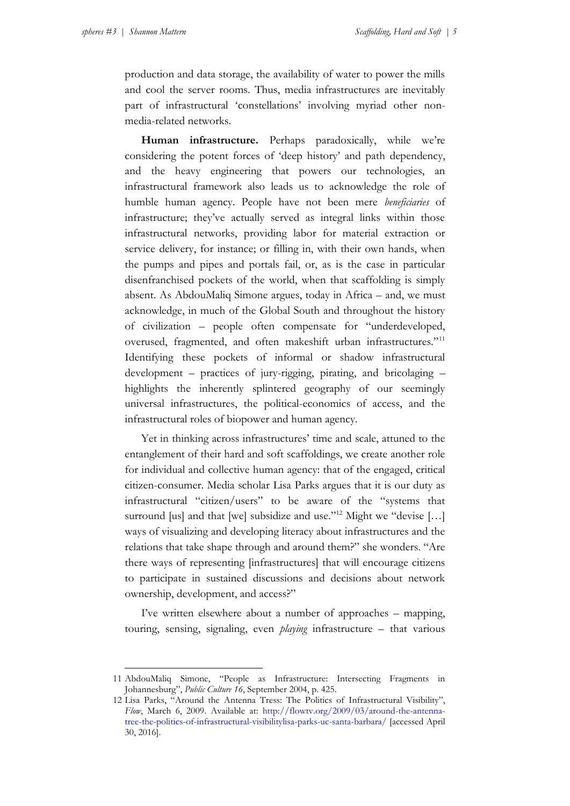production and data storage, the availability of water to power the mills and cool the server rooms. Thus, media infrastructures are inevitably part of infrastructural 'constellations' involving myriad other nonmedia-related networks.

**Human infrastructure.** Perhaps paradoxically, while we're considering the potent forces of 'deep history' and path dependency, and the heavy engineering that powers our technologies, an infrastructural framework also leads us to acknowledge the role of humble human agency. People have not been mere *beneficiaries* of infrastructure; they've actually served as integral links within those infrastructural networks, providing labor for material extraction or service delivery, for instance; or filling in, with their own hands, when the pumps and pipes and portals fail, or, as is the case in particular disenfranchised pockets of the world, when that scaffolding is simply absent. As AbdouMaliq Simone argues, today in Africa – and, we must acknowledge, in much of the Global South and throughout the history of civilization – people often compensate for "underdeveloped, overused, fragmented, and often makeshift urban infrastructures."<sup>11</sup> Identifying these pockets of informal or shadow infrastructural development – practices of jury-rigging, pirating, and bricolaging – highlights the inherently splintered geography of our seemingly universal infrastructures, the political-economics of access, and the infrastructural roles of biopower and human agency.

Yet in thinking across infrastructures' time and scale, attuned to the entanglement of their hard and soft scaffoldings, we create another role for individual and collective human agency: that of the engaged, critical citizen-consumer. Media scholar Lisa Parks argues that it is our duty as infrastructural "citizen/users" to be aware of the "systems that surround [us] and that [we] subsidize and use."<sup>12</sup> Might we "devise [...] ways of visualizing and developing literacy about infrastructures and the relations that take shape through and around them?" she wonders. "Are there ways of representing [infrastructures] that will encourage citizens to participate in sustained discussions and decisions about network ownership, development, and access?"

I've written elsewhere about a number of approaches – mapping, touring, sensing, signaling, even *playing* infrastructure – that various

<sup>11</sup> AbdouMaliq Simone, "People as Infrastructure: Intersecting Fragments in Johannesburg", *Public Culture 16*, September 2004, p. 425.

<sup>12</sup> Lisa Parks, "Around the Antenna Tress: The Politics of Infrastructural Visibility", *Flow*, March 6, 2009. Available at: [http://flowtv.org/2009/03/around-the-antenna](http://flowtv.org/2009/03/around-the-antenna-tree-the-politics-of-infrastructural-visibilitylisa-parks-uc-santa-barbara/)[tree-the-politics-of-infrastructural-visibilitylisa-parks-uc-santa-barbara/](http://flowtv.org/2009/03/around-the-antenna-tree-the-politics-of-infrastructural-visibilitylisa-parks-uc-santa-barbara/) [accessed April 30, 2016].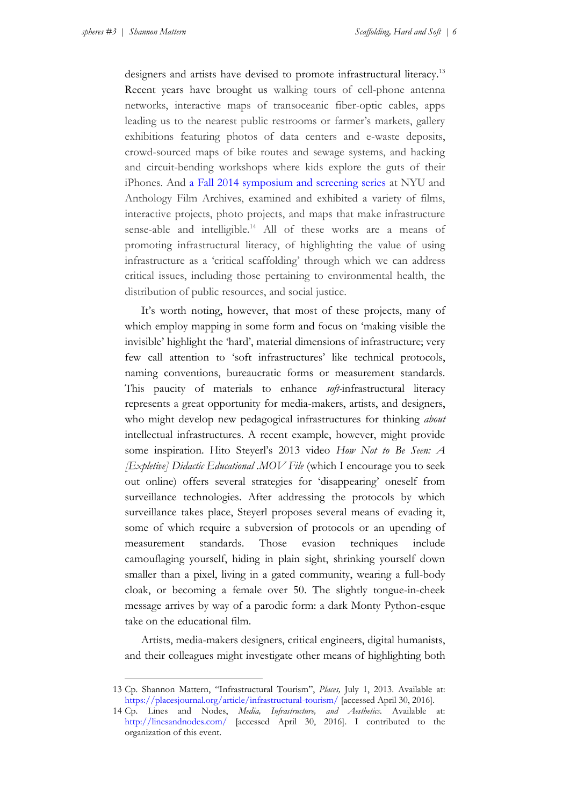designers and artists have devised to promote infrastructural literacy.<sup>13</sup> Recent years have brought us walking tours of cell-phone antenna networks, interactive maps of transoceanic fiber-optic cables, apps leading us to the nearest public restrooms or farmer's markets, gallery exhibitions featuring photos of data centers and e-waste deposits, crowd-sourced maps of bike routes and sewage systems, and hacking and circuit-bending workshops where kids explore the guts of their iPhones. And [a Fall 2014 symposium and screening series](http://linesandnodes.com/) at NYU and Anthology Film Archives, examined and exhibited a variety of films, interactive projects, photo projects, and maps that make infrastructure sense-able and intelligible.<sup>14</sup> All of these works are a means of promoting infrastructural literacy, of highlighting the value of using infrastructure as a 'critical scaffolding' through which we can address critical issues, including those pertaining to environmental health, the distribution of public resources, and social justice.

It's worth noting, however, that most of these projects, many of which employ mapping in some form and focus on 'making visible the invisible' highlight the 'hard', material dimensions of infrastructure; very few call attention to 'soft infrastructures' like technical protocols, naming conventions, bureaucratic forms or measurement standards. This paucity of materials to enhance *soft-*infrastructural literacy represents a great opportunity for media-makers, artists, and designers, who might develop new pedagogical infrastructures for thinking *about*  intellectual infrastructures. A recent example, however, might provide some inspiration. Hito Steyerl's 2013 video *How Not to Be Seen: A [Expletive] Didactic Educational .MOV File* (which I encourage you to seek out online) offers several strategies for 'disappearing' oneself from surveillance technologies. After addressing the protocols by which surveillance takes place, Steyerl proposes several means of evading it, some of which require a subversion of protocols or an upending of measurement standards. Those evasion techniques include camouflaging yourself, hiding in plain sight, shrinking yourself down smaller than a pixel, living in a gated community, wearing a full-body cloak, or becoming a female over 50. The slightly tongue-in-cheek message arrives by way of a parodic form: a dark Monty Python-esque take on the educational film.

Artists, media-makers designers, critical engineers, digital humanists, and their colleagues might investigate other means of highlighting both

<sup>13</sup> Cp. Shannon Mattern, "Infrastructural Tourism", *Places,* July 1, 2013. Available at: <https://placesjournal.org/article/infrastructural-tourism/> [accessed April 30, 2016].

<sup>14</sup> Cp. Lines and Nodes, *Media, Infrastructure, and Aesthetics.* Available at: <http://linesandnodes.com/> [accessed April 30, 2016]. I contributed to the organization of this event.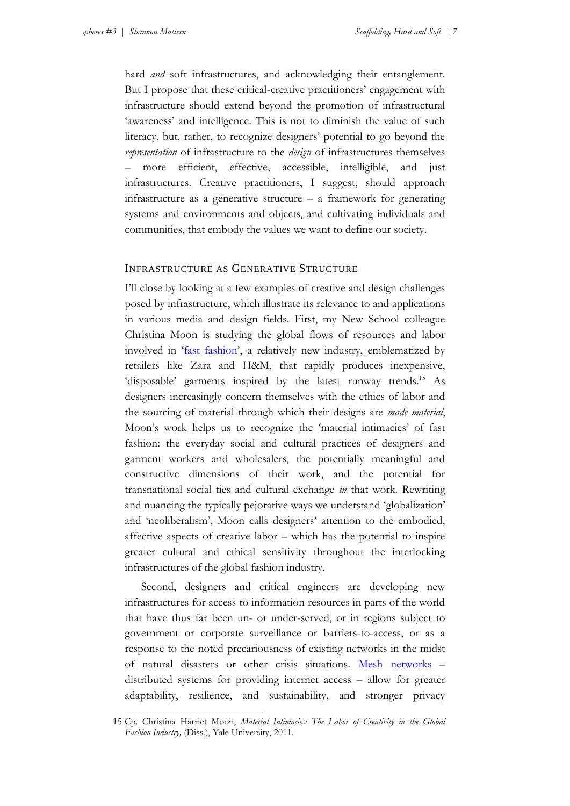hard *and* soft infrastructures, and acknowledging their entanglement. But I propose that these critical-creative practitioners' engagement with infrastructure should extend beyond the promotion of infrastructural 'awareness' and intelligence. This is not to diminish the value of such literacy, but, rather, to recognize designers' potential to go beyond the *representation* of infrastructure to the *design* of infrastructures themselves more efficient, effective, accessible, intelligible, and just infrastructures. Creative practitioners, I suggest, should approach infrastructure as a generative structure – a framework for generating systems and environments and objects, and cultivating individuals and communities, that embody the values we want to define our society.

# INFRASTRUCTURE AS GENERATIVE STRUCTURE

I'll close by looking at a few examples of creative and design challenges posed by infrastructure, which illustrate its relevance to and applications in various media and design fields. First, my New School colleague Christina Moon is studying the global flows of resources and labor involved in '[fast fashion](http://www.psmag.com/navigation/business-economics/secret-world-slow-road-korea-los-angeles-behind-fast-fashion-73956/)', a relatively new industry, emblematized by retailers like Zara and H&M, that rapidly produces inexpensive, 'disposable' garments inspired by the latest runway trends.<sup>15</sup> As designers increasingly concern themselves with the ethics of labor and the sourcing of material through which their designs are *made material*, Moon's work helps us to recognize the 'material intimacies' of fast fashion: the everyday social and cultural practices of designers and garment workers and wholesalers, the potentially meaningful and constructive dimensions of their work, and the potential for transnational social ties and cultural exchange *in* that work. Rewriting and nuancing the typically pejorative ways we understand 'globalization' and 'neoliberalism', Moon calls designers' attention to the embodied, affective aspects of creative labor – which has the potential to inspire greater cultural and ethical sensitivity throughout the interlocking infrastructures of the global fashion industry.

Second, designers and critical engineers are developing new infrastructures for access to information resources in parts of the world that have thus far been un- or under-served, or in regions subject to government or corporate surveillance or barriers-to-access, or as a response to the noted precariousness of existing networks in the midst of natural disasters or other crisis situations. [Mesh networks](http://urbanomnibus.net/2013/09/local-connections-the-red-hook-wifi-project/) – distributed systems for providing internet access – allow for greater adaptability, resilience, and sustainability, and stronger privacy

<sup>15</sup> Cp. Christina Harriet Moon, *Material Intimacies: The Labor of Creativity in the Global Fashion Industry,* (Diss.), Yale University, 2011.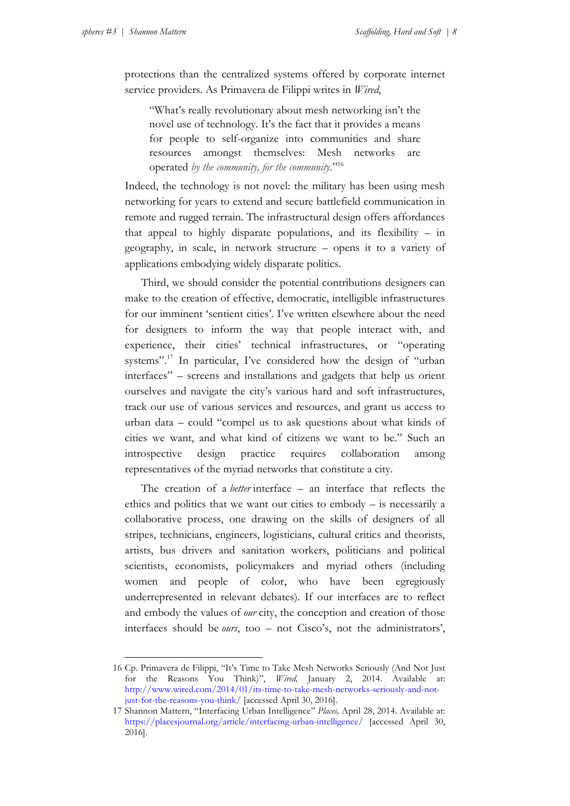1

protections than the centralized systems offered by corporate internet service providers. As Primavera de Filippi writes in *Wired*,

"What's really revolutionary about mesh networking isn't the novel use of technology. It's the fact that it provides a means for people to self-organize into communities and share resources amongst themselves: Mesh networks are operated *by the community, for the community*." 16

Indeed, the technology is not novel: the military has been using mesh networking for years to extend and secure battlefield communication in remote and rugged terrain. The infrastructural design offers affordances that appeal to highly disparate populations, and its flexibility – in geography, in scale, in network structure – opens it to a variety of applications embodying widely disparate politics.

Third, we should consider the potential contributions designers can make to the creation of effective, democratic, intelligible infrastructures for our imminent 'sentient cities'. I've written elsewhere about the need for designers to inform the way that people interact with, and experience, their cities' technical infrastructures, or "operating systems".<sup>17</sup> In particular, I've considered how the design of "urban interfaces" – screens and installations and gadgets that help us orient ourselves and navigate the city's various hard and soft infrastructures, track our use of various services and resources, and grant us access to urban data – could "compel us to ask questions about what kinds of cities we want, and what kind of citizens we want to be." Such an introspective design practice requires collaboration among representatives of the myriad networks that constitute a city.

The creation of a *better* interface – an interface that reflects the ethics and politics that we want our cities to embody – is necessarily a collaborative process, one drawing on the skills of designers of all stripes, technicians, engineers, logisticians, cultural critics and theorists, artists, bus drivers and sanitation workers, politicians and political scientists, economists, policymakers and myriad others (including women and people of color, who have been egregiously underrepresented in relevant debates). If our interfaces are to reflect and embody the values of *our* city, the conception and creation of those interfaces should be *ours*, too – not Cisco's, not the administrators',

<sup>16</sup> Cp. Primavera de Filippi, "It's Time to Take Mesh Networks Seriously (And Not Just for the Reasons You Think)", *Wired,* January 2, 2014. Available at: [http://www.wired.com/2014/01/its-time-to-take-mesh-networks-seriously-and-not](http://www.wired.com/2014/01/its-time-to-take-mesh-networks-seriously-and-not-just-for-the-reasons-you-think/)[just-for-the-reasons-you-think/](http://www.wired.com/2014/01/its-time-to-take-mesh-networks-seriously-and-not-just-for-the-reasons-you-think/) [accessed April 30, 2016].

<sup>17</sup> Shannon Mattern, "Interfacing Urban Intelligence" *Places,* April 28, 2014. Available at: <https://placesjournal.org/article/interfacing-urban-intelligence/> [accessed April 30, 2016].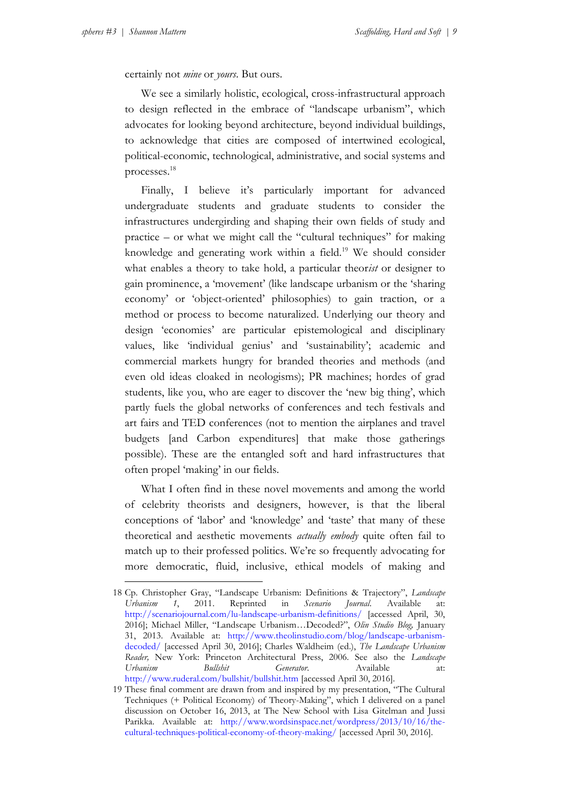certainly not *mine* or *yours*. But ours.

We see a similarly holistic, ecological, cross-infrastructural approach to design reflected in the embrace of "landscape urbanism", which advocates for looking beyond architecture, beyond individual buildings, to acknowledge that cities are composed of intertwined ecological, political-economic, technological, administrative, and social systems and processes.<sup>18</sup>

Finally, I believe it's particularly important for advanced undergraduate students and graduate students to consider the infrastructures undergirding and shaping their own fields of study and practice – or what we might call the "cultural techniques" for making knowledge and generating work within a field.<sup>19</sup> We should consider what enables a theory to take hold, a particular theor*ist* or designer to gain prominence, a 'movement' (like landscape urbanism or the 'sharing economy' or 'object-oriented' philosophies) to gain traction, or a method or process to become naturalized. Underlying our theory and design 'economies' are particular epistemological and disciplinary values, like 'individual genius' and 'sustainability'; academic and commercial markets hungry for branded theories and methods (and even old ideas cloaked in neologisms); PR machines; hordes of grad students, like you, who are eager to discover the 'new big thing', which partly fuels the global networks of conferences and tech festivals and art fairs and TED conferences (not to mention the airplanes and travel budgets [and Carbon expenditures] that make those gatherings possible). These are the entangled soft and hard infrastructures that often propel 'making' in our fields.

What I often find in these novel movements and among the world of celebrity theorists and designers, however, is that the liberal conceptions of 'labor' and 'knowledge' and 'taste' that many of these theoretical and aesthetic movements *actually embody* quite often fail to match up to their professed politics. We're so frequently advocating for more democratic, fluid, inclusive, ethical models of making and

<sup>18</sup> Cp. Christopher Gray, "Landscape Urbanism: Definitions & Trajectory", *Landscape Urbanism 1*, 2011. Reprinted in *Scenario Journal*. Available at: <http://scenariojournal.com/lu-landscape-urbanism-definitions/> [accessed April, 30, 2016]; Michael Miller, "Landscape Urbanism…Decoded?", *Olin Studio Blog,* January 31, 2013. Available at: [http://www.theolinstudio.com/blog/landscape-urbanism](http://www.theolinstudio.com/blog/landscape-urbanism-decoded/)[decoded/](http://www.theolinstudio.com/blog/landscape-urbanism-decoded/) [accessed April 30, 2016]; Charles Waldheim (ed.), *The Landscape Urbanism Reader,* New York: Princeton Architectural Press, 2006. See also the *Landscape Urbanism Bullshit Generator*. Available at: <http://www.ruderal.com/bullshit/bullshit.htm> [accessed April 30, 2016].

<sup>19</sup> These final comment are drawn from and inspired by my presentation, "The Cultural Techniques (+ Political Economy) of Theory-Making", which I delivered on a panel discussion on October 16, 2013, at The New School with Lisa Gitelman and Jussi Parikka. Available at: [http://www.wordsinspace.net/wordpress/2013/10/16/the](http://www.wordsinspace.net/wordpress/2013/10/16/the-cultural-techniques-political-economy-of-theory-making/)[cultural-techniques-political-economy-of-theory-making/](http://www.wordsinspace.net/wordpress/2013/10/16/the-cultural-techniques-political-economy-of-theory-making/) [accessed April 30, 2016].